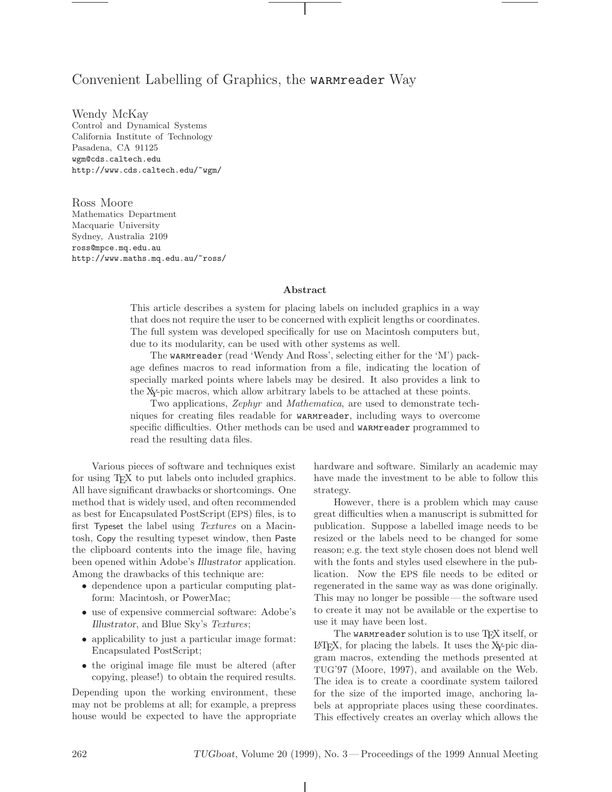# Convenient Labelling of Graphics, the **WARMreader** Way

Wendy McKay Control and Dynamical Systems California Institute of Technology Pasadena, CA 91125 wgm@cds.caltech.edu http://www.cds.caltech.edu/~wgm/

Ross Moore Mathematics Department Macquarie University Sydney, Australia 2109 ross@mpce.mq.edu.au http://www.maths.mq.edu.au/~ross/

### Abstract

This article describes a system for placing labels on included graphics in a way that does not require the user to be concerned with explicit lengths or coordinates. The full system was developed specifically for use on Macintosh computers but, due to its modularity, can be used with other systems as well.

The warmreader (read 'Wendy And Ross', selecting either for the 'M') package defines macros to read information from a file, indicating the location of specially marked points where labels may be desired. It also provides a link to the XY-pic macros, which allow arbitrary labels to be attached at these points.

Two applications, Zephyr and Mathematica, are used to demonstrate techniques for creating files readable for warmreader, including ways to overcome specific difficulties. Other methods can be used and warmreader programmed to read the resulting data files.

Various pieces of software and techniques exist for using T<sub>E</sub>X to put labels onto included graphics. All have significant drawbacks or shortcomings. One method that is widely used, and often recommended as best for Encapsulated PostScript (EPS) files, is to first Typeset the label using Textures on a Macintosh, Copy the resulting typeset window, then Paste the clipboard contents into the image file, having been opened within Adobe's Illustrator application. Among the drawbacks of this technique are:

- dependence upon a particular computing platform: Macintosh, or PowerMac;
- use of expensive commercial software: Adobe's Illustrator, and Blue Sky's Textures;
- applicability to just a particular image format: Encapsulated PostScript;
- the original image file must be altered (after copying, please!) to obtain the required results.

Depending upon the working environment, these may not be problems at all; for example, a prepress house would be expected to have the appropriate hardware and software. Similarly an academic may have made the investment to be able to follow this strategy.

However, there is a problem which may cause great difficulties when a manuscript is submitted for publication. Suppose a labelled image needs to be resized or the labels need to be changed for some reason; e.g. the text style chosen does not blend well with the fonts and styles used elsewhere in the publication. Now the EPS file needs to be edited or regenerated in the same way as was done originally. This may no longer be possible— the software used to create it may not be available or the expertise to use it may have been lost.

The warmreader solution is to use TFX itself, or LATEX, for placing the labels. It uses the XY-pic diagram macros, extending the methods presented at TUG'97 (Moore, 1997), and available on the Web. The idea is to create a coordinate system tailored for the size of the imported image, anchoring labels at appropriate places using these coordinates. This effectively creates an overlay which allows the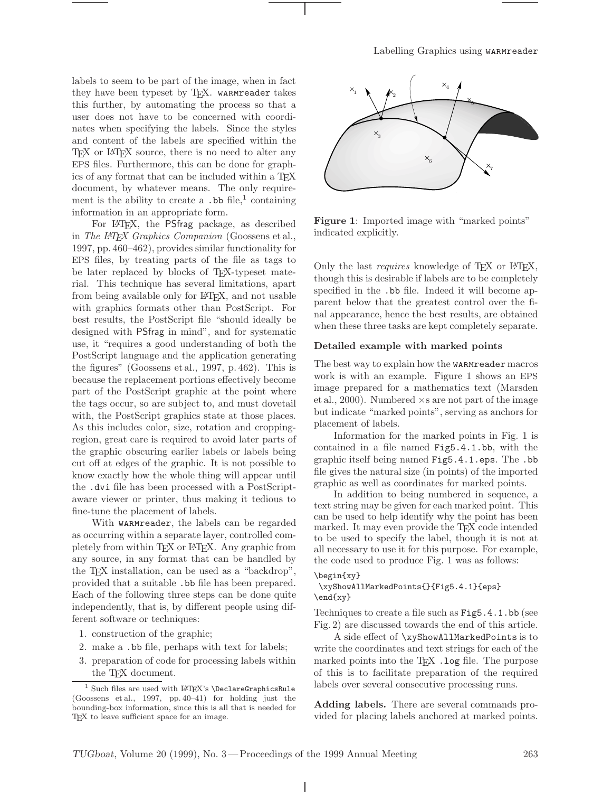labels to seem to be part of the image, when in fact they have been typeset by TFX. WARMreader takes this further, by automating the process so that a user does not have to be concerned with coordinates when specifying the labels. Since the styles and content of the labels are specified within the TEX or LATEX source, there is no need to alter any EPS files. Furthermore, this can be done for graphics of any format that can be included within a T<sub>E</sub>X document, by whatever means. The only requirement is the ability to create a  $\cdot$  bb file,<sup>1</sup> containing information in an appropriate form.

For LAT<sub>F</sub>X, the PSfrag package, as described in The IATEX Graphics Companion (Goossens et al., 1997, pp. 460–462), provides similar functionality for EPS files, by treating parts of the file as tags to be later replaced by blocks of T<sub>EX</sub>-typeset material. This technique has several limitations, apart from being available only for LATEX, and not usable with graphics formats other than PostScript. For best results, the PostScript file "should ideally be designed with PSfrag in mind", and for systematic use, it "requires a good understanding of both the PostScript language and the application generating the figures" (Goossens et al., 1997, p. 462). This is because the replacement portions effectively become part of the PostScript graphic at the point where the tags occur, so are subject to, and must dovetail with, the PostScript graphics state at those places. As this includes color, size, rotation and croppingregion, great care is required to avoid later parts of the graphic obscuring earlier labels or labels being cut off at edges of the graphic. It is not possible to know exactly how the whole thing will appear until the .dvi file has been processed with a PostScriptaware viewer or printer, thus making it tedious to fine-tune the placement of labels.

With warmreader, the labels can be regarded as occurring within a separate layer, controlled completely from within TEX or L<sup>AT</sup>EX. Any graphic from any source, in any format that can be handled by the TEX installation, can be used as a "backdrop", provided that a suitable .bb file has been prepared. Each of the following three steps can be done quite independently, that is, by different people using different software or techniques:

- 1. construction of the graphic;
- 2. make a .bb file, perhaps with text for labels;
- 3. preparation of code for processing labels within the T<sub>EX</sub> document.



Figure 1: Imported image with "marked points" indicated explicitly.

Only the last *requires* knowledge of T<sub>F</sub>X or L<sup>AT</sup>FX, though this is desirable if labels are to be completely specified in the .bb file. Indeed it will become apparent below that the greatest control over the final appearance, hence the best results, are obtained when these three tasks are kept completely separate.

## Detailed example with marked points

The best way to explain how the **WARMTeader** macros work is with an example. Figure 1 shows an EPS image prepared for a mathematics text (Marsden et al., 2000). Numbered  $\times s$  are not part of the image but indicate "marked points", serving as anchors for placement of labels.

Information for the marked points in Fig. 1 is contained in a file named Fig5.4.1.bb, with the graphic itself being named Fig5.4.1.eps. The .bb file gives the natural size (in points) of the imported graphic as well as coordinates for marked points.

In addition to being numbered in sequence, a text string may be given for each marked point. This can be used to help identify why the point has been marked. It may even provide the T<sub>EX</sub> code intended to be used to specify the label, though it is not at all necessary to use it for this purpose. For example, the code used to produce Fig. 1 was as follows:

### \begin{xy}

\xyShowAllMarkedPoints{}{Fig5.4.1}{eps} \end{xy}

Techniques to create a file such as Fig5.4.1.bb (see Fig. 2) are discussed towards the end of this article.

A side effect of \xyShowAllMarkedPoints is to write the coordinates and text strings for each of the marked points into the  $T_{F}X$ . log file. The purpose of this is to facilitate preparation of the required labels over several consecutive processing runs.

Adding labels. There are several commands provided for placing labels anchored at marked points.

 $^1$  Such files are used with LAT<sub>E</sub>X's **\DeclareGraphicsRule** (Goossens et al., 1997, pp. 40–41) for holding just the bounding-box information, since this is all that is needed for TEX to leave sufficient space for an image.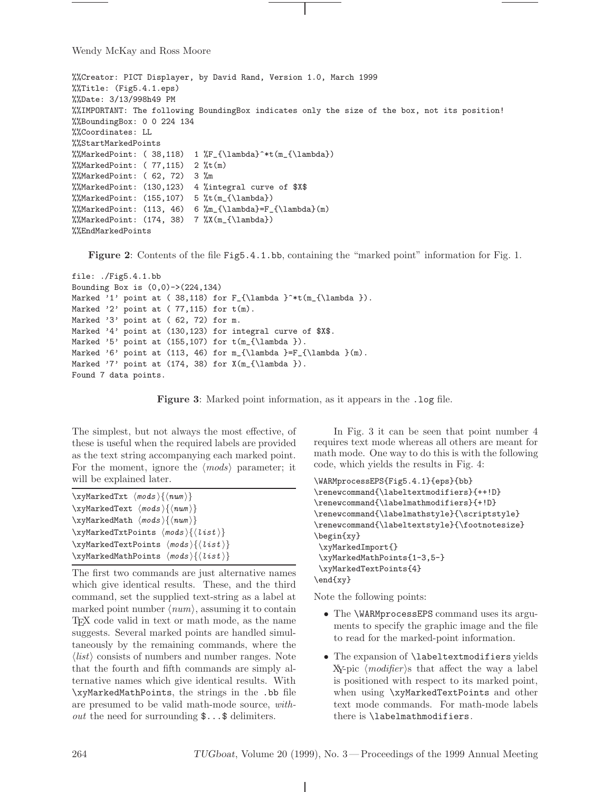```
%%Creator: PICT Displayer, by David Rand, Version 1.0, March 1999
%%Title: (Fig5.4.1.eps)
%%Date: 3/13/998h49 PM
%%IMPORTANT: The following BoundingBox indicates only the size of the box, not its position!
%%BoundingBox: 0 0 224 134
%%Coordinates: LL
%%StartMarkedPoints
%%MarkedPoint: ( 38, 118) 1 %F_{\lambda}^**(m_{\lambda})\frac{1}{2} MarkedPoint: (77,115) 2 \frac{1}{2} (m)
%%MarkedPoint: ( 62, 72) 3 %m
%%MarkedPoint: (130,123) 4 %integral curve of $X$
\frac{N}{MarkedPoint:} (155,107) 5 % t(m_{\lambda})%%MarkedPoint: (113, 46) 6 %m_{\lambda}=F_{\lambda}(m)
\frac{\sqrt{N\frac{1}{10}}}{\frac{N(\frac{1}{\lambda})}{N(\frac{1}{\lambda})}}%%EndMarkedPoints
```
Figure 2: Contents of the file Fig5.4.1.bb, containing the "marked point" information for Fig. 1.

```
file: ./Fig5.4.1.bb
Bounding Box is (0,0)->(224,134)Marked '1' point at ( 38,118) for F_{\lambda }^*t(m_{\lambda }).
Marked '2' point at (77,115) for t(m).
Marked '3' point at (62, 72) for m.
Marked '4' point at (130,123) for integral curve of $X$.
Marked '5' point at (155, 107) for t(m_{\lambda}).
Marked '6' point at (113, 46) for m_{\lambda} = F_{\lambda}(\m).
Marked '7' point at (174, 38) for X(m_{\lambda}).
Found 7 data points.
```


The simplest, but not always the most effective, of these is useful when the required labels are provided as the text string accompanying each marked point. For the moment, ignore the  $\langle \text{mods} \rangle$  parameter; it will be explained later.

```
\xyMarkedTxt \langle mods \rangle \langle num \rangle\xyMarkedText \langle mods \rangle{\langle num \rangle}
\xyMarkedMath \langle mods \rangle\langle num \rangle\xyMarkedTxtPoints \{mods \}\xyMarkedTextPoints \langle \textit{mods} \rangle\{ \langle \textit{list} \rangle \}\xyMarkedMathPoints \langle \textit{mods} \rangle\{ \langle \textit{list} \rangle \}
```
The first two commands are just alternative names which give identical results. These, and the third command, set the supplied text-string as a label at marked point number  $\langle num \rangle$ , assuming it to contain TEX code valid in text or math mode, as the name suggests. Several marked points are handled simultaneously by the remaining commands, where the  $\langle list \rangle$  consists of numbers and number ranges. Note that the fourth and fifth commands are simply alternative names which give identical results. With \xyMarkedMathPoints, the strings in the .bb file are presumed to be valid math-mode source, with*out* the need for surrounding  $\mathcal{F} \ldots \mathcal{F}$  delimiters.

In Fig. 3 it can be seen that point number 4 requires text mode whereas all others are meant for math mode. One way to do this is with the following code, which yields the results in Fig. 4:

```
\WARMprocessEPS{Fig5.4.1}{eps}{bb}
\renewcommand{\labeltextmodifiers}{++!D}
\renewcommand{\labelmathmodifiers}{+!D}
\renewcommand{\labelmathstyle}{\scriptstyle}
\renewcommand{\labeltextstyle}{\footnotesize}
\begin{xy}
\xyMarkedImport{}
\xyMarkedMathPoints{1-3,5-}
\xyMarkedTextPoints{4}
\end{xy}
```
Note the following points:

- The \WARMprocessEPS command uses its arguments to specify the graphic image and the file to read for the marked-point information.
- The expansion of **\labeltextmodifiers** yields  $X \rightarrow$  (*modifier*) is that affect the way a label is positioned with respect to its marked point, when using \xyMarkedTextPoints and other text mode commands. For math-mode labels there is \labelmathmodifiers.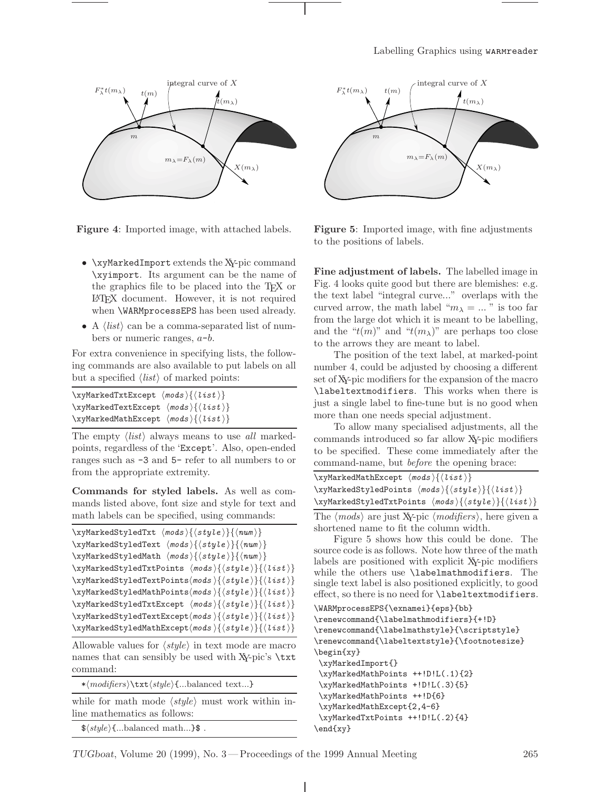

Figure 4: Imported image, with attached labels.

- \xyMarkedImport extends the XY-pic command \xyimport. Its argument can be the name of the graphics file to be placed into the TEX or LATEX document. However, it is not required when \WARMprocessEPS has been used already.
- A  $\langle list \rangle$  can be a comma-separated list of numbers or numeric ranges,  $a-b$ .

For extra convenience in specifying lists, the following commands are also available to put labels on all but a specified  $\langle list \rangle$  of marked points:

| $\xyMarkedTxt\,\, \langle \text{mod } s \rangle \{ \langle \text{list} \rangle \}$         |  |
|--------------------------------------------------------------------------------------------|--|
| $\xyMarkedTextException \langle mods \rangle \{ \langle list \rangle \}$                   |  |
| $\xyMarkedMathException \langle \textit{mods} \rangle \{ \langle \textit{list} \rangle \}$ |  |

The empty  $\langle list \rangle$  always means to use all markedpoints, regardless of the 'Except'. Also, open-ended ranges such as -3 and 5- refer to all numbers to or from the appropriate extremity.

Commands for styled labels. As well as commands listed above, font size and style for text and math labels can be specified, using commands:

```
\xyMarkedStyledTxt \{mods\} {\style}\\xyMarkedStyledText \langle \textit{mods} \rangle\{ \langle \textit{style} \rangle \}\xyMarkedStyledMath \langle mods \rangle {\langle style \rangle} {\langle num \rangle}\xyMarkedStyledTxtPoints \{models\}\xyMarkedStyledTextPoints(mods){\style}\{\style\}\{\sitst\}\xyMarkedStyledMathPoints\langle \textit{mods} \rangle{\langle \textit{style} \rangle}{\langle \textit{list} \rangle}
\xyMarkedStyledTxtExcept \langle mods \rangle {\langle style\rangle} {\langle list \rangle}\xyMarkedStyledTextExcept\langle \textit{mods} \rangle\{ \langle \textit{style} \rangle \}\xyMarkedStyledMathExcept\langle \textit{mods} \rangle\{ \langle \textit{style} \rangle \}
```
Allowable values for  $\langle style\rangle$  in text mode are macro names that can sensibly be used with XY-pic's **\txt** command:

 $*\langle \textit{model} \rangle \text{ }\{...\text{balanced text}...\}$ 

while for math mode  $\langle style\rangle$  must work within inline mathematics as follows:

 $\$(style\#$ (style) $\{...\text{balanced math}...\}$ 



Figure 5: Imported image, with fine adjustments to the positions of labels.

Fine adjustment of labels. The labelled image in Fig. 4 looks quite good but there are blemishes: e.g. the text label "integral curve..." overlaps with the curved arrow, the math label " $m_{\lambda} = ...$ " is too far from the large dot which it is meant to be labelling, and the " $t(m)$ " and " $t(m_\lambda)$ " are perhaps too close to the arrows they are meant to label.

The position of the text label, at marked-point number 4, could be adjusted by choosing a different set of XY-pic modifiers for the expansion of the macro \labeltextmodifiers. This works when there is just a single label to fine-tune but is no good when more than one needs special adjustment.

To allow many specialised adjustments, all the commands introduced so far allow XY-pic modifiers to be specified. These come immediately after the command-name, but before the opening brace:

| $\xyMarkedMathException \langle \textit{mods} \rangle$ { $\langle \textit{list} \rangle$ }                                        |
|-----------------------------------------------------------------------------------------------------------------------------------|
| $\xyMarkedStyledPoints \{models\} {\style}\}$                                                                                     |
| \xyMarkedStyledTxtPoints $\langle \textit{mods} \rangle \{ \langle \textit{style} \rangle \} \{ \langle \textit{list} \rangle \}$ |
| The $(n \cdot d)$ are just $X \cdot n \cdot (m \cdot d)$ and here $m \cdot n$                                                     |

The  $\langle \textit{mods} \rangle$  are just XY-pic  $\langle \textit{modifiers} \rangle$ , here given a shortened name to fit the column width.

Figure 5 shows how this could be done. The source code is as follows. Note how three of the math labels are positioned with explicit XY-pic modifiers while the others use \labelmathmodifiers. The single text label is also positioned explicitly, to good effect, so there is no need for \labeltextmodifiers.

```
\WARMprocessEPS{\exnamei}{eps}{bb}
\renewcommand{\labelmathmodifiers}{+!D}
\renewcommand{\labelmathstyle}{\scriptstyle}
\renewcommand{\labeltextstyle}{\footnotesize}
\begin{xy}
\xyMarkedImport{}
\xyMarkedMathPoints ++!D!L(.1){2}
\xyMarkedMathPoints +!D!L(.3){5}
\xyMarkedMathPoints ++!D{6}
\xyMarkedMathExcept{2,4-6}
\xyMarkedTxtPoints ++!D!L(.2){4}
\end{xy}
```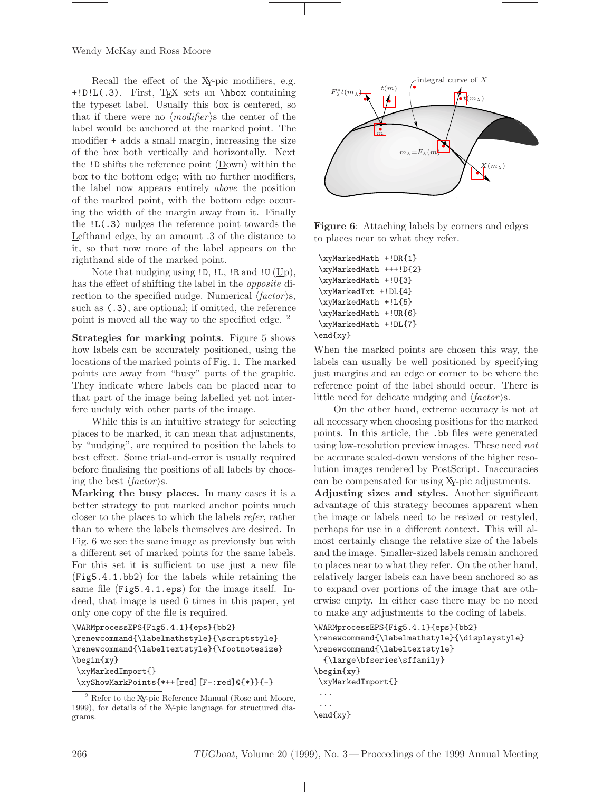Recall the effect of the XY-pic modifiers, e.g. +!D!L(.3). First, TEX sets an \hbox containing the typeset label. Usually this box is centered, so that if there were no  $\langle \textit{modifier} \rangle$  the center of the label would be anchored at the marked point. The modifier + adds a small margin, increasing the size of the box both vertically and horizontally. Next the  $!D$  shifts the reference point  $(Down)$  within the box to the bottom edge; with no further modifiers, the label now appears entirely above the position of the marked point, with the bottom edge occuring the width of the margin away from it. Finally the !L(.3) nudges the reference point towards the Lefthand edge, by an amount .3 of the distance to it, so that now more of the label appears on the righthand side of the marked point.

Note that nudging using !D, !L, !R and !U (Up), has the effect of shifting the label in the *opposite* direction to the specified nudge. Numerical  $\langle factor \rangle$ s, such as (.3), are optional; if omitted, the reference point is moved all the way to the specified edge. <sup>2</sup>

Strategies for marking points. Figure 5 shows how labels can be accurately positioned, using the locations of the marked points of Fig. 1. The marked points are away from "busy" parts of the graphic. They indicate where labels can be placed near to that part of the image being labelled yet not interfere unduly with other parts of the image.

While this is an intuitive strategy for selecting places to be marked, it can mean that adjustments, by "nudging", are required to position the labels to best effect. Some trial-and-error is usually required before finalising the positions of all labels by choosing the best  $\langle factor \rangle$ s.

Marking the busy places. In many cases it is a better strategy to put marked anchor points much closer to the places to which the labels refer, rather than to where the labels themselves are desired. In Fig. 6 we see the same image as previously but with a different set of marked points for the same labels. For this set it is sufficient to use just a new file (Fig5.4.1.bb2) for the labels while retaining the same file (Fig5.4.1.eps) for the image itself. Indeed, that image is used 6 times in this paper, yet only one copy of the file is required.

```
\WARMprocessEPS{Fig5.4.1}{eps}{bb2}
```

```
\renewcommand{\labelmathstyle}{\scriptstyle}
\renewcommand{\labeltextstyle}{\footnotesize}
\begin{xy}
 \xyMarkedImport{}
\xyShowMarkPoints{*++[red][F-:red]@{*}}{-}
```

```
2 Refer to the XY-pic Reference Manual (Rose and Moore,
1999), for details of the XY-pic language for structured dia-
grams.
```


Figure 6: Attaching labels by corners and edges to places near to what they refer.

\xyMarkedMath +!DR{1} \xyMarkedMath +++!D{2} \xyMarkedMath +!U{3} \xyMarkedTxt +!DL{4} \xyMarkedMath +!L{5} \xyMarkedMath +!UR{6} \xyMarkedMath +!DL{7} \end{xy}

When the marked points are chosen this way, the labels can usually be well positioned by specifying just margins and an edge or corner to be where the reference point of the label should occur. There is little need for delicate nudging and  $\langle factor \rangle$ s.

On the other hand, extreme accuracy is not at all necessary when choosing positions for the marked points. In this article, the .bb files were generated using low-resolution preview images. These need not be accurate scaled-down versions of the higher resolution images rendered by PostScript. Inaccuracies can be compensated for using XY-pic adjustments.

Adjusting sizes and styles. Another significant advantage of this strategy becomes apparent when the image or labels need to be resized or restyled, perhaps for use in a different context. This will almost certainly change the relative size of the labels and the image. Smaller-sized labels remain anchored to places near to what they refer. On the other hand, relatively larger labels can have been anchored so as to expand over portions of the image that are otherwise empty. In either case there may be no need to make any adjustments to the coding of labels.

```
\WARMprocessEPS{Fig5.4.1}{eps}{bb2}
\renewcommand{\labelmathstyle}{\displaystyle}
\renewcommand{\labeltextstyle}
  {\large\bfseries\sffamily}
\begin{xy}
 \xyMarkedImport{}
 ...
 ...
\end{xy}
```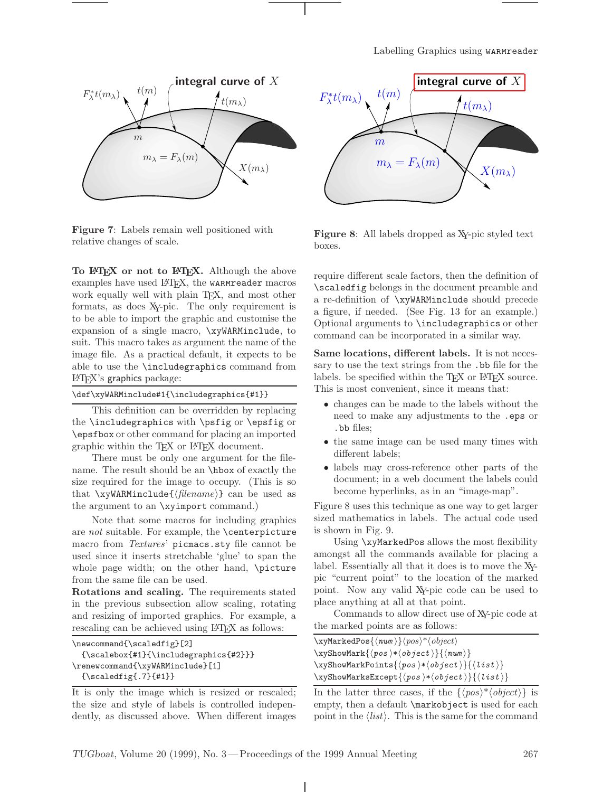

Figure 7: Labels remain well positioned with relative changes of scale.

To LATEX or not to LATEX. Although the above examples have used IATFX, the warmreader macros work equally well with plain T<sub>E</sub>X, and most other formats, as does XY-pic. The only requirement is to be able to import the graphic and customise the expansion of a single macro, \xyWARMinclude, to suit. This macro takes as argument the name of the image file. As a practical default, it expects to be able to use the \includegraphics command from LATEX's graphics package:

| \def\xyWARMinclude#1{\includegraphics{#1}} |  |
|--------------------------------------------|--|
|--------------------------------------------|--|

This definition can be overridden by replacing the \includegraphics with \psfig or \epsfig or \epsfbox or other command for placing an imported graphic within the TEX or LATEX document.

There must be only one argument for the filename. The result should be an \hbox of exactly the size required for the image to occupy. (This is so that  $\x$ yWARMinclude{ $\langle filename\rangle$ } can be used as the argument to an \xyimport command.)

Note that some macros for including graphics are not suitable. For example, the \centerpicture macro from Textures' picmacs.sty file cannot be used since it inserts stretchable 'glue' to span the whole page width; on the other hand, \picture from the same file can be used.

Rotations and scaling. The requirements stated in the previous subsection allow scaling, rotating and resizing of imported graphics. For example, a rescaling can be achieved using LAT<sub>EX</sub> as follows:

| \newcommand{\scaledfig}[2]                         |  |
|----------------------------------------------------|--|
| $\{\s$ calebox $\{#1\} {\in Cludegraphics{\#2}}\}$ |  |
| \renewcommand{\xyWARMinclude}[1]                   |  |
| ${\slabel{def:1}}$                                 |  |

It is only the image which is resized or rescaled; the size and style of labels is controlled independently, as discussed above. When different images



Figure 8: All labels dropped as XY-pic styled text boxes.

require different scale factors, then the definition of \scaledfig belongs in the document preamble and a re-definition of \xyWARMinclude should precede a figure, if needed. (See Fig. 13 for an example.) Optional arguments to \includegraphics or other command can be incorporated in a similar way.

Same locations, different labels. It is not necessary to use the text strings from the .bb file for the labels. be specified within the T<sub>EX</sub> or L<sup>AT</sup>EX source. This is most convenient, since it means that:

- changes can be made to the labels without the need to make any adjustments to the .eps or .bb files;
- the same image can be used many times with different labels;
- labels may cross-reference other parts of the document; in a web document the labels could become hyperlinks, as in an "image-map".

Figure 8 uses this technique as one way to get larger sized mathematics in labels. The actual code used is shown in Fig. 9.

Using \xyMarkedPos allows the most flexibility amongst all the commands available for placing a label. Essentially all that it does is to move the XYpic "current point" to the location of the marked point. Now any valid XY-pic code can be used to place anything at all at that point.

Commands to allow direct use of XY-pic code at the marked points are as follows:

| $\x$ yMarkedPos $\langle \nu \rangle$ } $\langle \rho \nu \rangle^* \langle \rho \nu \rangle$                                                                                                                                                                                                                                                                                                                                                                                                                                                             |  |
|-----------------------------------------------------------------------------------------------------------------------------------------------------------------------------------------------------------------------------------------------------------------------------------------------------------------------------------------------------------------------------------------------------------------------------------------------------------------------------------------------------------------------------------------------------------|--|
| $\xyshowMark {\pmb{\cdot} \otimes \ast \otimes \otimes \ast} \otimes \otimes \ast {\pmb{\cdot} \otimes \ast} {\pmb{\cdot} \otimes \ast}$                                                                                                                                                                                                                                                                                                                                                                                                                  |  |
| $\xyshowMarkPoints {\p so} {\kappa \otimes} {\kappa \otimes} {\kappa \otimes} {\kappa \otimes} {\kappa \otimes} {\kappa \otimes} {\kappa \otimes} {\kappa \otimes} {\kappa \otimes} {\kappa \otimes} {\kappa \otimes} {\kappa \otimes} {\kappa \otimes} {\kappa \otimes} {\kappa \otimes} {\kappa \otimes} {\kappa \otimes} {\kappa \otimes} {\kappa \otimes} {\kappa \otimes} {\kappa \otimes} {\kappa \otimes} {\kappa \otimes} {\kappa \otimes} {\kappa \otimes} {\kappa \otimes} {\kappa \otimes} {\kappa \otimes} {\kappa \otimes} {\kappa \otimes}$ |  |
| $\xyshowMarksExcept {\langle pos \rangle * \langle object \rangle} {\langle list \rangle}$                                                                                                                                                                                                                                                                                                                                                                                                                                                                |  |

In the latter three cases, if the  $\{\langle pos \rangle^* \langle object \rangle\}$  is empty, then a default \markobject is used for each point in the  $\langle list \rangle$ . This is the same for the command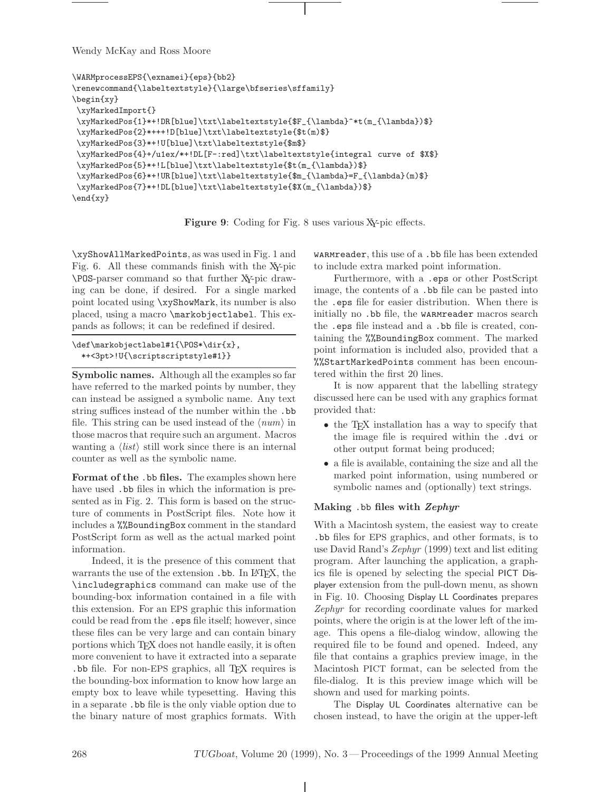```
\WARMprocessEPS{\exnamei}{eps}{bb2}
\renewcommand{\labeltextstyle}{\large\bfseries\sffamily}
\begin{xy}
\xyMarkedImport{}
\xyMarkedPos{1}*+!DR[blue]\txt\labeltextstyle{$F_{\lambda}^*t(m_{\lambda})$}
\xyMarkedPos{2}*+++!D[blue]\txt\labeltextstyle{$t(m)$}
\xyMarkedPos{3}*+!U[blue]\txt\labeltextstyle{$m$}
\xyMarkedPos{4}+/u1ex/*+!DL[F-:red]\txt\labeltextstyle{integral curve of $X$}
\xyMarkedPos{5}*+!L[blue]\txt\labeltextstyle{$t(m_{\lambda})$}
\xyMarkedPos{6}*+!UR[blue]\txt\labeltextstyle{$m_{\lambda}=F_{\lambda}(m)$}
 \xyMarkedPos{7}*+!DL[blue]\txt\labeltextstyle{$X(m_{\lambda})$}
\end{xy}
```
Figure 9: Coding for Fig. 8 uses various X-pic effects.

\xyShowAllMarkedPoints, as was used in Fig. 1 and Fig. 6. All these commands finish with the XY-pic \POS-parser command so that further XY-pic drawing can be done, if desired. For a single marked point located using \xyShowMark, its number is also placed, using a macro \markobjectlabel. This expands as follows; it can be redefined if desired.

```
\def\markobjectlabel#1{\POS*\dir{x},
  *+<3pt>!U{\scriptscriptstyle#1}}
```
Symbolic names. Although all the examples so far have referred to the marked points by number, they can instead be assigned a symbolic name. Any text string suffices instead of the number within the .bb file. This string can be used instead of the  $\langle num \rangle$  in those macros that require such an argument. Macros wanting a  $\langle list \rangle$  still work since there is an internal counter as well as the symbolic name.

Format of the .bb files. The examples shown here have used .bb files in which the information is presented as in Fig. 2. This form is based on the structure of comments in PostScript files. Note how it includes a %%BoundingBox comment in the standard PostScript form as well as the actual marked point information.

Indeed, it is the presence of this comment that warrants the use of the extension .bb. In LAT<sub>EX</sub>, the \includegraphics command can make use of the bounding-box information contained in a file with this extension. For an EPS graphic this information could be read from the .eps file itself; however, since these files can be very large and can contain binary portions which T<sub>E</sub>X does not handle easily, it is often more convenient to have it extracted into a separate .bb file. For non-EPS graphics, all TEX requires is the bounding-box information to know how large an empty box to leave while typesetting. Having this in a separate .bb file is the only viable option due to the binary nature of most graphics formats. With warmreader, this use of a .bb file has been extended to include extra marked point information.

Furthermore, with a .eps or other PostScript image, the contents of a .bb file can be pasted into the .eps file for easier distribution. When there is initially no .bb file, the warmreader macros search the .eps file instead and a .bb file is created, containing the %%BoundingBox comment. The marked point information is included also, provided that a %%StartMarkedPoints comment has been encountered within the first 20 lines.

It is now apparent that the labelling strategy discussed here can be used with any graphics format provided that:

- the T<sub>F</sub>X installation has a way to specify that the image file is required within the .dvi or other output format being produced;
- a file is available, containing the size and all the marked point information, using numbered or symbolic names and (optionally) text strings.

# Making .bb files with Zephyr

With a Macintosh system, the easiest way to create .bb files for EPS graphics, and other formats, is to use David Rand's Zephyr (1999) text and list editing program. After launching the application, a graphics file is opened by selecting the special PICT Displayer extension from the pull-down menu, as shown in Fig. 10. Choosing Display LL Coordinates prepares Zephyr for recording coordinate values for marked points, where the origin is at the lower left of the image. This opens a file-dialog window, allowing the required file to be found and opened. Indeed, any file that contains a graphics preview image, in the Macintosh PICT format, can be selected from the file-dialog. It is this preview image which will be shown and used for marking points.

The Display UL Coordinates alternative can be chosen instead, to have the origin at the upper-left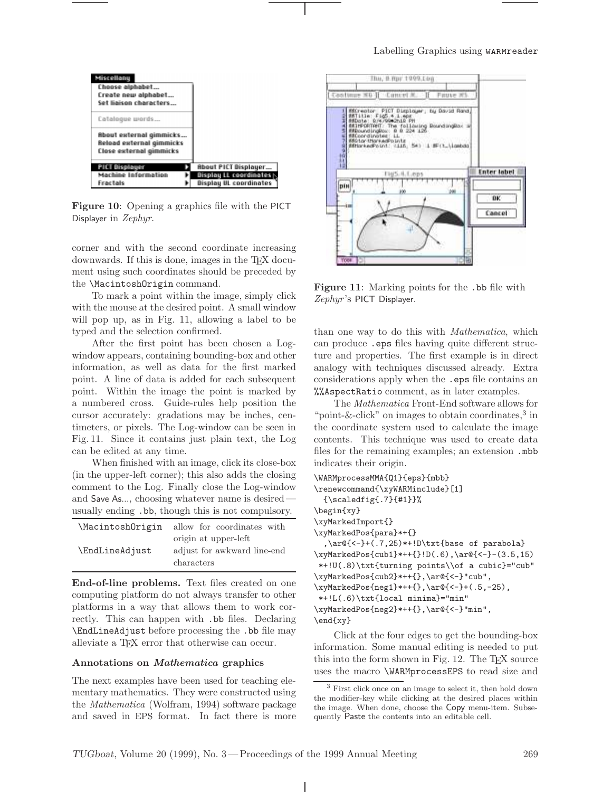

Figure 10: Opening a graphics file with the PICT Displayer in Zephyr.

corner and with the second coordinate increasing downwards. If this is done, images in the TEX document using such coordinates should be preceded by the \MacintoshOrigin command.

To mark a point within the image, simply click with the mouse at the desired point. A small window will pop up, as in Fig. 11, allowing a label to be typed and the selection confirmed.

After the first point has been chosen a Logwindow appears, containing bounding-box and other information, as well as data for the first marked point. A line of data is added for each subsequent point. Within the image the point is marked by a numbered cross. Guide-rules help position the cursor accurately: gradations may be inches, centimeters, or pixels. The Log-window can be seen in Fig. 11. Since it contains just plain text, the Log can be edited at any time.

When finished with an image, click its close-box (in the upper-left corner); this also adds the closing comment to the Log. Finally close the Log-window and Save As..., choosing whatever name is desired usually ending .bb, though this is not compulsory.

| \MacintoshOrigin | allow for coordinates with                                        |
|------------------|-------------------------------------------------------------------|
| \EndLineAdjust   | origin at upper-left<br>adjust for awkward line-end<br>characters |

End-of-line problems. Text files created on one computing platform do not always transfer to other platforms in a way that allows them to work correctly. This can happen with .bb files. Declaring \EndLineAdjust before processing the .bb file may alleviate a TEX error that otherwise can occur.

## Annotations on Mathematica graphics

The next examples have been used for teaching elementary mathematics. They were constructed using the Mathematica (Wolfram, 1994) software package and saved in EPS format. In fact there is more



Figure 11: Marking points for the .bb file with Zephyr's PICT Displayer.

than one way to do this with Mathematica, which can produce .eps files having quite different structure and properties. The first example is in direct analogy with techniques discussed already. Extra considerations apply when the .eps file contains an %%AspectRatio comment, as in later examples.

The Mathematica Front-End software allows for "point-&-click" on images to obtain coordinates, $3$  in the coordinate system used to calculate the image contents. This technique was used to create data files for the remaining examples; an extension .mbb indicates their origin.

```
\WARMprocessMMA{Q1}{eps}{mbb}
\renewcommand{\xyWARMinclude}[1]
  {\scaledfig{.7}{#1}}%
\begin{xy}
\xyMarkedImport{}
\xyMarkedPos{para}*+{}
  ,\ar@{<-}+(.7,25)*+!D\txt{base of parabola}
\xyMarkedPos{cub1}*++{}!D(.6),\ar@{<-}-(3.5,15)
*+!U(.8)\txt{turning points\\of a cubic}="cub"
\xyMarkedPos{cub2}*++{},\ar@{<-}"cub",
\xyMarkedPos{neg1}*++{},\ar@{<-}+(.5,-25),
*+!L(.6)\txt{local minima}="min"
\xyMarkedPos{neg2}*++{},\ar@{<-}"min",
\end{xy}
```
Click at the four edges to get the bounding-box information. Some manual editing is needed to put this into the form shown in Fig. 12. The T<sub>E</sub>X source uses the macro \WARMprocessEPS to read size and

<sup>3</sup> First click once on an image to select it, then hold down the modifier-key while clicking at the desired places within the image. When done, choose the Copy menu-item. Subsequently Paste the contents into an editable cell.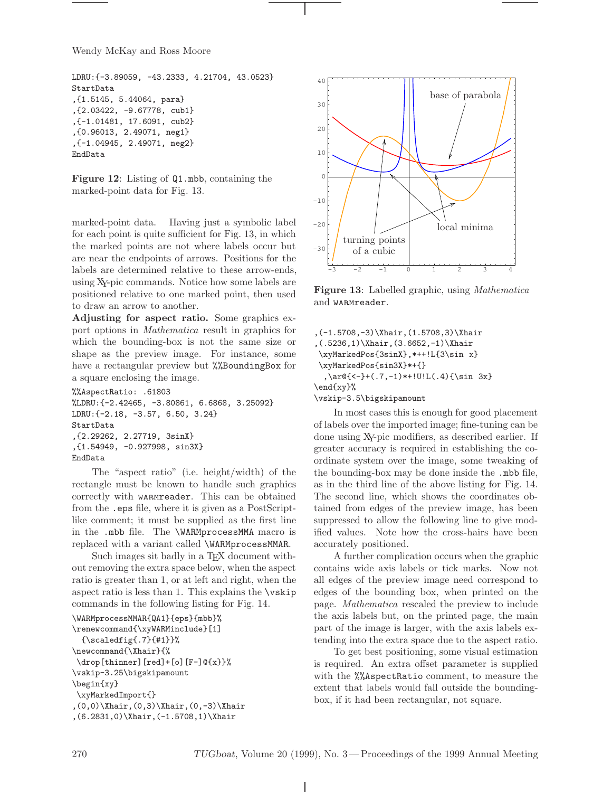```
LDRU: {-3.89059, -43.2333, 4.21704, 43.0523}
StartData
,{1.5145, 5.44064, para}
,{2.03422, -9.67778, cub1}
,{-1.01481, 17.6091, cub2}
,{0.96013, 2.49071, neg1}
,{-1.04945, 2.49071, neg2}
EndData
```
Figure 12: Listing of Q1.mbb, containing the marked-point data for Fig. 13.

marked-point data. Having just a symbolic label for each point is quite sufficient for Fig. 13, in which the marked points are not where labels occur but are near the endpoints of arrows. Positions for the labels are determined relative to these arrow-ends, using XY-pic commands. Notice how some labels are positioned relative to one marked point, then used to draw an arrow to another.

Adjusting for aspect ratio. Some graphics export options in Mathematica result in graphics for which the bounding-box is not the same size or shape as the preview image. For instance, some have a rectangular preview but *%%BoundingBox* for a square enclosing the image.

```
%%AspectRatio: .61803
%LDRU:{-2.42465, -3.80861, 6.6868, 3.25092}
LDRU:{-2.18, -3.57, 6.50, 3.24}
StartData
,{2.29262, 2.27719, 3sinX}
,{1.54949, -0.927998, sin3X}
EndData
```
The "aspect ratio" (i.e. height/width) of the rectangle must be known to handle such graphics correctly with warmreader. This can be obtained from the .eps file, where it is given as a PostScriptlike comment; it must be supplied as the first line in the .mbb file. The \WARMprocessMMA macro is replaced with a variant called \WARMprocessMMAR.

Such images sit badly in a TEX document without removing the extra space below, when the aspect ratio is greater than 1, or at left and right, when the aspect ratio is less than 1. This explains the \vskip commands in the following listing for Fig. 14.

```
\WARMprocessMMAR{QA1}{eps}{mbb}%
\renewcommand{\xyWARMinclude}[1]
 {\simeq} {\{1\}}
\newcommand{\Xhair}{%
\drop[thinner][red]+[o][F-]@{x}}%
\vskip-3.25\bigskipamount
\begin{xy}
\xyMarkedImport{}
,(0,0)\Xhair,(0,3)\Xhair,(0,-3)\Xhair
,(6.2831,0)\Xhair,(-1.5708,1)\Xhair
```


Figure 13: Labelled graphic, using *Mathematica* and warmreader.

```
,(-1.5708,-3)\Xhair,(1.5708,3)\Xhair
,(.5236,1)\Xhair,(3.6652,-1)\Xhair
\xyMarkedPos{3sinX},*++!L{3\sin x}
\xyMarkedPos{sin3X}*+{}
  ,\ar@{<-}+(.7,-1)*+!U!L(.4){\sin 3x}\end{xy}%
\vskip-3.5\bigskipamount
```
In most cases this is enough for good placement of labels over the imported image; fine-tuning can be done using XY-pic modifiers, as described earlier. If greater accuracy is required in establishing the coordinate system over the image, some tweaking of the bounding-box may be done inside the .mbb file, as in the third line of the above listing for Fig. 14. The second line, which shows the coordinates obtained from edges of the preview image, has been suppressed to allow the following line to give modified values. Note how the cross-hairs have been accurately positioned.

A further complication occurs when the graphic contains wide axis labels or tick marks. Now not all edges of the preview image need correspond to edges of the bounding box, when printed on the page. Mathematica rescaled the preview to include the axis labels but, on the printed page, the main part of the image is larger, with the axis labels extending into the extra space due to the aspect ratio.

To get best positioning, some visual estimation is required. An extra offset parameter is supplied with the %%AspectRatio comment, to measure the extent that labels would fall outside the boundingbox, if it had been rectangular, not square.